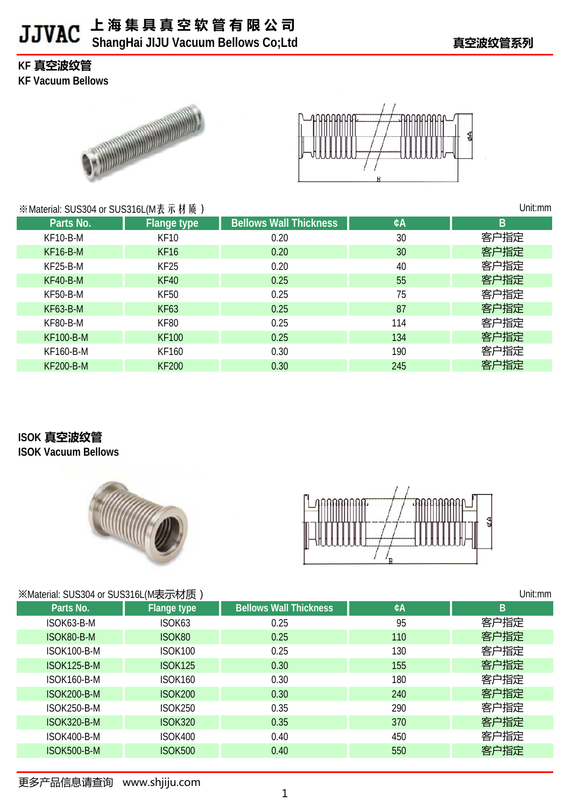### **上 海 集 具 真 空 软 管 有 限 公 司 b** ShangHai JIJU Vacuum Bellows Co;Ltd **Example 19 and 19 and 19 and 19 and 19 and 19 and 19 and 19 and 19 and 19 and 19 and 19 and 19 and 19 and 19 and 19 and 19 and 19 and 19 and 19 and 19 and 19 and 19 and 19 and 19**

### **KF 真空波纹管**

**KF Vacuum Bellows**





#### ※Material: SUS304 or SUS316L(M表示材质) KF10-B-M KF10 0.20 30 KF16-B-M KF16 0.20 30 KF25-B-M KF25 0.20 40 KF40-B-M KF40 0.25 55 KF50-B-M KF50 0.25 75 KF63-B-M KF63 0.25 87 KF80-B-M KF80 0.25 114 KF100-B-M KF100 KF100 0.25 134 KF160-B-M KF160 0.30 0.30 190 KF200-B-M KF200 0.30 245 Unit:mm Parts No. **Flange type Bellows Wall Thickness EXA B** 客户指定 客户指定 客户指定 客户指定 客户指定 客户指定 客户指定 客户指定 客户指定 客户指定

# **ISOK 真空波纹管**

**ISOK Vacuum Bellows**





| Unit:mm<br>※Material: SUS304 or SUS316L(M表示材质) |                    |                |                               |     |      |
|------------------------------------------------|--------------------|----------------|-------------------------------|-----|------|
|                                                | Parts No.          | Flange type    | <b>Bellows Wall Thickness</b> | ¢A  | B    |
|                                                | ISOK63-B-M         | ISOK63         | 0.25                          | 95  | 客户指定 |
|                                                | ISOK80-B-M         | ISOK80         | 0.25                          | 110 | 客户指定 |
|                                                | ISOK100-B-M        | <b>ISOK100</b> | 0.25                          | 130 | 客户指定 |
|                                                | <b>ISOK125-B-M</b> | <b>ISOK125</b> | 0.30                          | 155 | 客户指定 |
|                                                | ISOK160-B-M        | <b>ISOK160</b> | 0.30                          | 180 | 客户指定 |
|                                                | ISOK200-B-M        | <b>ISOK200</b> | 0.30                          | 240 | 客户指定 |
|                                                | ISOK250-B-M        | <b>ISOK250</b> | 0.35                          | 290 | 客户指定 |
|                                                | <b>ISOK320-B-M</b> | <b>ISOK320</b> | 0.35                          | 370 | 客户指定 |
|                                                | ISOK400-B-M        | <b>ISOK400</b> | 0.40                          | 450 | 客户指定 |
|                                                | <b>ISOK500-B-M</b> | <b>ISOK500</b> | 0.40                          | 550 | 客户指定 |
|                                                |                    |                |                               |     |      |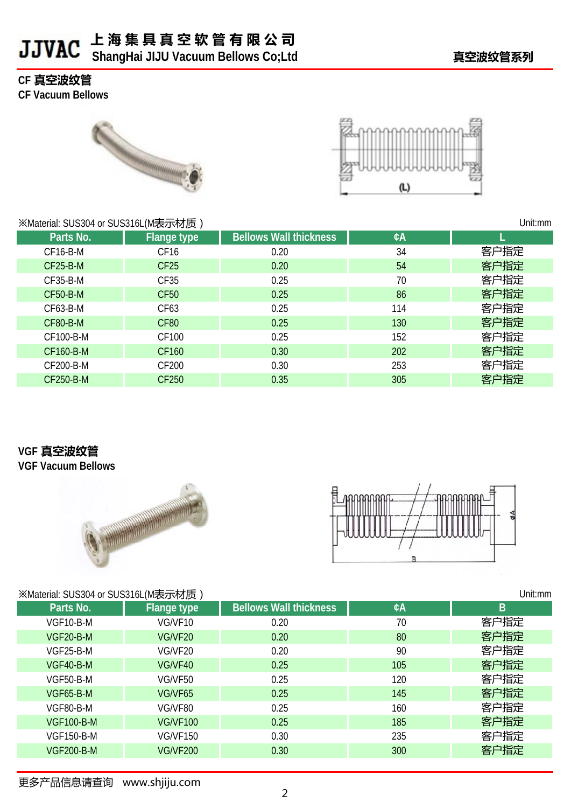### **上 海 集 具 真 空 软 管 有 限 公 司 b** ShangHai JIJU Vacuum Bellows Co;Ltd **butch in the community of the state of the state of the state of the state of the state of the state of the state of the state of the state of the state of the state of the state**

#### **CF 真空波纹管**

**CF Vacuum Bellows**





| ※Material: SUS304 or SUS316L(M表示材质) | Unit:mm            |                               |     |      |
|-------------------------------------|--------------------|-------------------------------|-----|------|
| Parts No.                           | <b>Flange type</b> | <b>Bellows Wall thickness</b> | ¢A  |      |
| CF16-B-M                            | CF <sub>16</sub>   | 0.20                          | 34  | 客户指定 |
| <b>CF25-B-M</b>                     | CF <sub>25</sub>   | 0.20                          | 54  | 客户指定 |
| CF35-B-M                            | CF35               | 0.25                          | 70  | 客户指定 |
| <b>CF50-B-M</b>                     | <b>CF50</b>        | 0.25                          | 86  | 客户指定 |
| CF63-B-M                            | CF63               | 0.25                          | 114 | 客户指定 |
| <b>CF80-B-M</b>                     | CF80               | 0.25                          | 130 | 客户指定 |
| CF100-B-M                           | CF100              | 0.25                          | 152 | 客户指定 |
| CF160-B-M                           | CF160              | 0.30                          | 202 | 客户指定 |
| CF200-B-M                           | CF200              | 0.30                          | 253 | 客户指定 |
| CF250-B-M                           | CF250              | 0.35                          | 305 | 客户指定 |

#### **VGF 真空波纹管**

**VGF Vacuum Bellows**





#### ※Material: SUS304 or SUS316L(M実示材质)

| ※Material: SUS304 or SUS316L(M表示材质) | Unit:mm         |                               |     |      |
|-------------------------------------|-----------------|-------------------------------|-----|------|
| Parts No.                           | Flange type     | <b>Bellows Wall thickness</b> | ¢A  | B    |
| VGF10-B-M                           | VG/VF10         | 0.20                          | 70  | 客户指定 |
| VGF20-B-M                           | VG/VF20         | 0.20                          | 80  | 客户指定 |
| VGF25-B-M                           | VG/VF20         | 0.20                          | 90  | 客户指定 |
| VGF40-B-M                           | VG/VF40         | 0.25                          | 105 | 客户指定 |
| VGF50-B-M                           | VG/VF50         | 0.25                          | 120 | 客户指定 |
| VGF65-B-M                           | VG/VF65         | 0.25                          | 145 | 客户指定 |
| VGF80-B-M                           | VG/VF80         | 0.25                          | 160 | 客户指定 |
| <b>VGF100-B-M</b>                   | <b>VG/VF100</b> | 0.25                          | 185 | 客户指定 |
| <b>VGF150-B-M</b>                   | <b>VG/VF150</b> | 0.30                          | 235 | 客户指定 |
| <b>VGF200-B-M</b>                   | <b>VG/VF200</b> | 0.30                          | 300 | 客户指定 |
|                                     |                 |                               |     |      |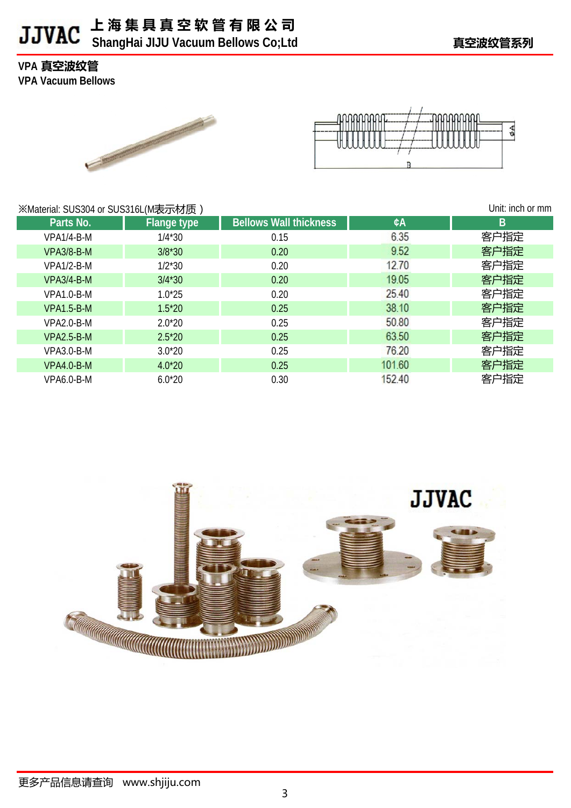### **上 海 集 具 真 空 软 管 有 限 公 司 b** ShangHai JIJU Vacuum Bellows Co;Ltd **butch in the community of the state of the state of the state of the state of the state of the state of the state of the state of the state of the state of the state of the state**

**VPA 真空波纹管**

**VPA Vacuum Bellows**





| ※Material: SUS304 or SUS316L(M表示材质) | Unit: inch or mm   |                               |        |      |
|-------------------------------------|--------------------|-------------------------------|--------|------|
| Parts No.                           | <b>Flange type</b> | <b>Bellows Wall thickness</b> | ¢A     | B    |
| VPA1/4-B-M                          | $1/4*30$           | 0.15                          | 6.35   | 客户指定 |
| <b>VPA3/8-B-M</b>                   | $3/8*30$           | 0.20                          | 9.52   | 客户指定 |
| <b>VPA1/2-B-M</b>                   | $1/2*30$           | 0.20                          | 12.70  | 客户指定 |
| <b>VPA3/4-B-M</b>                   | $3/4*30$           | 0.20                          | 19.05  | 客户指定 |
| $VPA1.0-B-M$                        | $1.0*25$           | 0.20                          | 25.40  | 客户指定 |
| <b>VPA1.5-B-M</b>                   | $1.5*20$           | 0.25                          | 38.10  | 客户指定 |
| $VPA2.0-B-M$                        | $2.0*20$           | 0.25                          | 50.80  | 客户指定 |
| $VPA2.5-B-M$                        | $2.5*20$           | 0.25                          | 63.50  | 客户指定 |
| <b>VPA3.0-B-M</b>                   | $3.0*20$           | 0.25                          | 76.20  | 客户指定 |
| VPA4.0-B-M                          | $4.0*20$           | 0.25                          | 101.60 | 客户指定 |
| VPA6.0-B-M                          | $6.0*20$           | 0.30                          | 152.40 | 客户指定 |